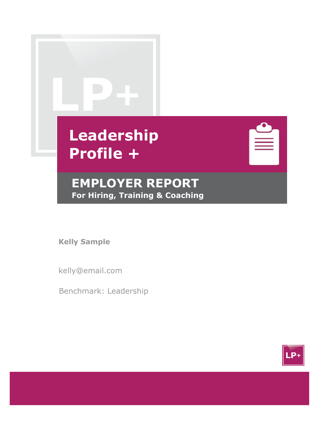| Leadership<br><b>Profile +</b>                            |  |
|-----------------------------------------------------------|--|
| <b>EMPLOYER REPORT</b><br>For Hiring, Training & Coaching |  |

**Kelly Sample**

kelly@email.com

Benchmark: Leadership

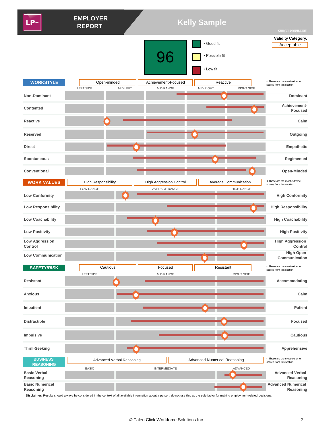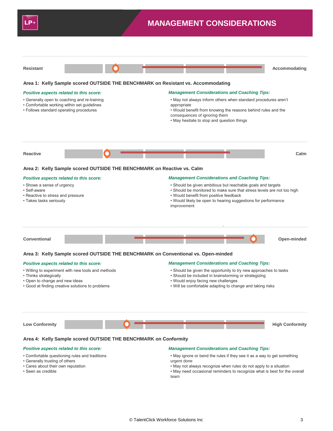



#### **Area 2: Kelly Sample scored OUTSIDE THE BENCHMARK on Reactive vs. Calm**

#### *Positive aspects related to this score:*

- Shows a sense of urgency
- Self-aware
- Reactive to stress and pressure
- Takes tasks seriously

#### *Management Considerations and Coaching Tips:*

- Should be given ambitious but reachable goals and targets
- Should be monitored to make sure that stress levels are not too high
- Would benefit from positive feedback
- Would likely be open to hearing suggestions for performance improvement



#### **Area 3: Kelly Sample scored OUTSIDE THE BENCHMARK on Conventional vs. Open-minded**

#### *Positive aspects related to this score:*

- Willing to experiment with new tools and methods
- Thinks strategically
- Open to change and new ideas
- Good at finding creative solutions to problems

#### *Management Considerations and Coaching Tips:*

- Should be given the opportunity to try new approaches to tasks
- Should be included in brainstorming or strategizing
- Would enjoy facing new challenges
- Will be comfortable adapting to change and taking risks



#### **Area 4: Kelly Sample scored OUTSIDE THE BENCHMARK on Conformity**

#### *Positive aspects related to this score:*

- Comfortable questioning rules and traditions
- Generally trusting of others
- Cares about their own reputation
- Seen as credible

#### *Management Considerations and Coaching Tips:*

- May ignore or bend the rules if they see it as a way to get something urgent done
- May not always recognize when rules do not apply to a situation
- May need occasional reminders to recognize what is best for the overall team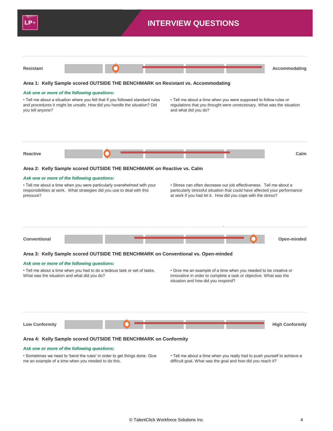

#### *Ask one or more of the following questions:*

• Sometimes we need to 'bend the rules' in order to get things done. Give me an example of a time when you needed to do this.

• Tell me about a time when you really had to push yourself to achieve a difficult goal. What was the goal and how did you reach it?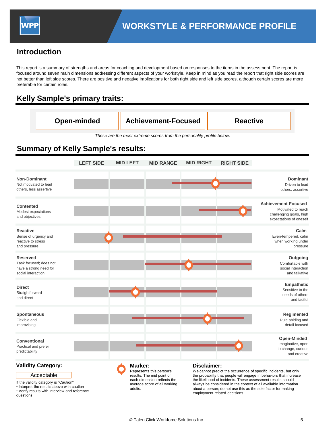### **Introduction**

This report is a summary of strengths and areas for coaching and development based on responses to the items in the assessment. The report is focused around seven main dimensions addressing different aspects of your workstyle. Keep in mind as you read the report that right side scores are not better than left side scores. There are positive and negative implications for both right side and left side scores, although certain scores are more preferable for certain roles.

### **Kelly Sample's primary traits:**

| Open-minded | <b>Achievement-Focused</b> | <b>Reactive</b> |
|-------------|----------------------------|-----------------|
|-------------|----------------------------|-----------------|

*These are the most extreme scores from the personality profile below.*

|                                                                                           | <b>LEFT SIDE</b> | <b>MID LEFT</b> | <b>MID RANGE</b> | <b>MID RIGHT</b>   | <b>RIGHT SIDE</b> |                                                                                                        |
|-------------------------------------------------------------------------------------------|------------------|-----------------|------------------|--------------------|-------------------|--------------------------------------------------------------------------------------------------------|
| <b>Non-Dominant</b><br>Not motivated to lead<br>others, less assertive                    |                  |                 |                  |                    |                   | <b>Dominant</b><br>Driven to lead<br>others, assertive                                                 |
| Contented<br>Modest expectations<br>and objectives                                        |                  |                 |                  |                    |                   | <b>Achievement-Focused</b><br>Motivated to reach<br>challenging goals, high<br>expectations of oneself |
| <b>Reactive</b><br>Sense of urgency and<br>reactive to stress<br>and pressure             |                  |                 |                  |                    |                   | Calm<br>Even-tempered, calm<br>when working under<br>pressure                                          |
| <b>Reserved</b><br>Task focused; does not<br>have a strong need for<br>social interaction |                  |                 |                  |                    |                   | Outgoing<br>Comfortable with<br>social interaction<br>and talkative                                    |
| <b>Direct</b><br>Straightforward<br>and direct                                            |                  |                 |                  |                    |                   | Empathetic<br>Sensitive to the<br>needs of others<br>and tactful                                       |
| Spontaneous<br>Flexible and<br>improvising                                                |                  |                 |                  |                    |                   | Regimented<br>Rule abiding and<br>detail focused                                                       |
| Conventional<br>Practical and prefer<br>predictability                                    |                  |                 |                  |                    |                   | Open-Minded<br>Imaginative, open<br>to change, curious<br>and creative                                 |
| <b>Validity Category:</b>                                                                 |                  | Marker:         |                  | <b>Disclaimer:</b> |                   |                                                                                                        |

### **Summary of Kelly Sample's results:**

If the validity category is "Caution":

Acceptable

• Interpret the results above with caution • Verify results with interview and reference

questions



We cannot predict the occurrence of specific incidents, but only the probability that people will engage in behaviors that increase the likelihood of incidents. These assessment results should always be considered in the context of all available information about a person; do not use this as the sole factor for making employment-related decisions.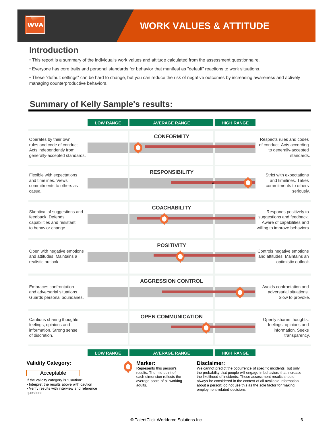

questions

### **Introduction**

- This report is a summary of the individual's work values and attitude calculated from the assessment questionnaire.
- Everyone has core traits and personal standards for behavior that manifest as "default" reactions to work situations.

• These "default settings" can be hard to change, but you can reduce the risk of negative outcomes by increasing awareness and actively managing counterproductive behaviors.

### **Summary of Kelly Sample's results:**

|                                                                                                                                                                              | <b>LOW RANGE</b> | <b>AVERAGE RANGE</b>                                                                                                                                               | <b>HIGH RANGE</b>                                                                                                                                                                                                                                                                                                                                                                                                |                                                                                                                   |
|------------------------------------------------------------------------------------------------------------------------------------------------------------------------------|------------------|--------------------------------------------------------------------------------------------------------------------------------------------------------------------|------------------------------------------------------------------------------------------------------------------------------------------------------------------------------------------------------------------------------------------------------------------------------------------------------------------------------------------------------------------------------------------------------------------|-------------------------------------------------------------------------------------------------------------------|
| Operates by their own<br>rules and code of conduct.<br>Acts independently from<br>generally-accepted standards.                                                              |                  | <b>CONFORMITY</b>                                                                                                                                                  |                                                                                                                                                                                                                                                                                                                                                                                                                  | Respects rules and codes<br>of conduct. Acts according<br>to generally-accepted<br>standards.                     |
| Flexible with expectations<br>and timelines. Views<br>commitments to others as<br>casual.                                                                                    |                  | <b>RESPONSIBILITY</b>                                                                                                                                              |                                                                                                                                                                                                                                                                                                                                                                                                                  | Strict with expectations<br>and timelines. Takes<br>commitments to others<br>seriously.                           |
| Skeptical of suggestions and<br>feedback. Defends<br>capabilities and resistant<br>to behavior change.                                                                       |                  | <b>COACHABILITY</b>                                                                                                                                                |                                                                                                                                                                                                                                                                                                                                                                                                                  | Responds positively to<br>suggestions and feedback.<br>Aware of capabilities and<br>willing to improve behaviors. |
| Open with negative emotions<br>and attitudes. Maintains a<br>realistic outlook.                                                                                              |                  | <b>POSITIVITY</b>                                                                                                                                                  |                                                                                                                                                                                                                                                                                                                                                                                                                  | Controls negative emotions<br>and attitudes. Maintains an<br>optimistic outlook.                                  |
| <b>Embraces confrontation</b><br>and adversarial situations.<br>Guards personal boundaries.                                                                                  |                  | <b>AGGRESSION CONTROL</b>                                                                                                                                          |                                                                                                                                                                                                                                                                                                                                                                                                                  | Avoids confrontation and<br>adversarial situations.<br>Slow to provoke.                                           |
| Cautious sharing thoughts,<br>feelings, opinions and<br>information. Strong sense<br>of discretion.                                                                          |                  | <b>OPEN COMMUNICATION</b>                                                                                                                                          |                                                                                                                                                                                                                                                                                                                                                                                                                  | Openly shares thoughts,<br>feelings, opinions and<br>information. Seeks<br>transparency.                          |
| <b>Validity Category:</b><br>Acceptable<br>If the validity category is "Caution":<br>Interpret the results above with caution<br>Verify results with interview and reference | <b>LOW RANGE</b> | <b>AVERAGE RANGE</b><br>Marker:<br>Represents this person's<br>results. The mid point of<br>each dimension reflects the<br>average score of all working<br>adults. | <b>HIGH RANGE</b><br>Disclaimer:<br>We cannot predict the occurrence of specific incidents, but only<br>the probability that people will engage in behaviors that increase<br>the likelihood of incidents. These assessment results should<br>always be considered in the context of all available information<br>about a person; do not use this as the sole factor for making<br>employment-related decisions. |                                                                                                                   |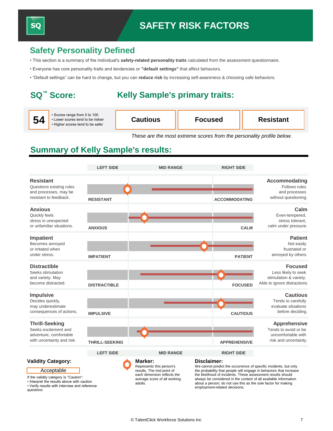### **Safety Personality Defined**

- This section is a summary of the individual's **safety-related personality traits** calculated from the assessment questionnaire.
- Everyone has core personality traits and tendencies or **"default settings"** that affect behaviors.
- "Default settings" can be hard to change, but you can **reduce risk** by increasing self-awareness & choosing safe behaviors.

### **SQ™ Score:**

SQ

### **Kelly Sample's primary traits:**

| 54 | • Scores range from 0 to 100<br>Lower scores tend to be riskier<br>• Higher scores tend to be safer | Cautious | Focused | <b>Resistant</b> |
|----|-----------------------------------------------------------------------------------------------------|----------|---------|------------------|
|----|-----------------------------------------------------------------------------------------------------|----------|---------|------------------|

*These are the most extreme scores from the personality profile below.*

### **Summary of Kelly Sample's results:**

|                                                                                                                                                                              | <b>LEFT SIDE</b>      | <b>MID RANGE</b>                                                                                                                           | <b>RIGHT SIDE</b>                                                                                                                                                                                                                                                                                                                                                                           |                                                                                                |
|------------------------------------------------------------------------------------------------------------------------------------------------------------------------------|-----------------------|--------------------------------------------------------------------------------------------------------------------------------------------|---------------------------------------------------------------------------------------------------------------------------------------------------------------------------------------------------------------------------------------------------------------------------------------------------------------------------------------------------------------------------------------------|------------------------------------------------------------------------------------------------|
| <b>Resistant</b><br>Questions existing rules<br>and processes, may be<br>resistant to feedback.                                                                              | <b>RESISTANT</b>      |                                                                                                                                            | <b>ACCOMMODATING</b>                                                                                                                                                                                                                                                                                                                                                                        | <b>Accommodating</b><br>Follows rules<br>and processes<br>without questioning.                 |
| <b>Anxious</b><br>Quickly feels<br>stress in unexpected<br>or unfamiliar situations.                                                                                         | <b>ANXIOUS</b>        |                                                                                                                                            | <b>CALM</b>                                                                                                                                                                                                                                                                                                                                                                                 | Calm<br>Even-tempered,<br>stress tolerant.<br>calm under pressure.                             |
| <b>Impatient</b><br>Becomes annoyed<br>or irritated when<br>under stress.                                                                                                    | <b>IMPATIENT</b>      |                                                                                                                                            | <b>PATIENT</b>                                                                                                                                                                                                                                                                                                                                                                              | <b>Patient</b><br>Not easily<br>frustrated or<br>annoyed by others.                            |
| <b>Distractible</b><br>Seeks stimulation<br>and variety. May<br>become distracted.                                                                                           | <b>DISTRACTIBLE</b>   |                                                                                                                                            | <b>FOCUSED</b>                                                                                                                                                                                                                                                                                                                                                                              | <b>Focused</b><br>Less likely to seek<br>stimulation & variety.<br>Able to ignore distractions |
| <b>Impulsive</b><br>Decides quickly,<br>may underestimate<br>consequences of actions.                                                                                        | <b>IMPULSIVE</b>      |                                                                                                                                            | <b>CAUTIOUS</b>                                                                                                                                                                                                                                                                                                                                                                             | <b>Cautious</b><br>Tends to carefully<br>evaluate situations<br>before deciding.               |
| <b>Thrill-Seeking</b><br>Seeks excitement and<br>adventure, comfortable<br>with uncertainty and risk.                                                                        | <b>THRILL-SEEKING</b> |                                                                                                                                            | <b>APPREHENSIVE</b>                                                                                                                                                                                                                                                                                                                                                                         | <b>Apprehensive</b><br>Tends to avoid or be<br>uncomfortable with<br>risk and uncertainty.     |
|                                                                                                                                                                              | <b>LEFT SIDE</b>      | <b>MID RANGE</b>                                                                                                                           | <b>RIGHT SIDE</b>                                                                                                                                                                                                                                                                                                                                                                           |                                                                                                |
| <b>Validity Category:</b><br>Acceptable<br>If the validity category is "Caution":<br>Interpret the results above with caution<br>Verify results with interview and reference |                       | Marker:<br>Represents this person's<br>results. The mid point of<br>each dimension reflects the<br>average score of all working<br>adults. | Disclaimer:<br>We cannot predict the occurrence of specific incidents, but only<br>the probability that people will engage in behaviors that increase<br>the likelihood of incidents. These assessment results should<br>always be considered in the context of all available information<br>about a person; do not use this as the sole factor for making<br>employment-related decisions. |                                                                                                |

• Interpret the results above with caution • Verify results with interview and reference questions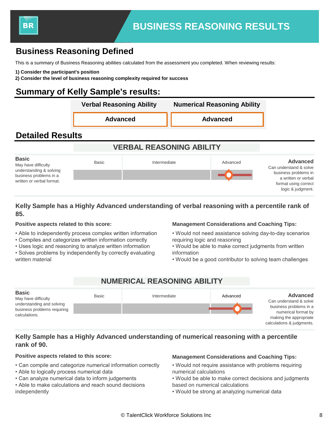

### **Business Reasoning Defined**

This is a summary of Business Reasoning abilities calculated from the assessment you completed. When reviewing results:

**1) Consider the participant's position** 

**2) Consider the level of business reasoning complexity required for success**

### **Summary of Kelly Sample's results:**



### **Kelly Sample has a Highly Advanced understanding of verbal reasoning with a percentile rank of 85.**

#### **Positive aspects related to this score:**

- Able to independently process complex written information
- Compiles and categorizes written information correctly
- Uses logic and reasoning to analyze written information
- Solves problems by independently by correctly evaluating written material

#### **Management Considerations and Coaching Tips:**

- Would not need assistance solving day-to-day scenarios requiring logic and reasoning
- Would be able to make correct judgments from written information
- Would be a good contributor to solving team challenges

### **NUMERICAL REASONING ABILITY**



### **Kelly Sample has a Highly Advanced understanding of numerical reasoning with a percentile rank of 90.**

- Can compile and categorize numerical information correctly
- Able to logically process numerical data
- Can analyze numerical data to inform judgements
- Able to make calculations and reach sound decisions independently

### **Positive aspects related to this score: Management Considerations and Coaching Tips:**

- Would not require assistance with problems requiring numerical calculations
- Would be able to make correct decisions and judgments based on numerical calculations
- Would be strong at analyzing numerical data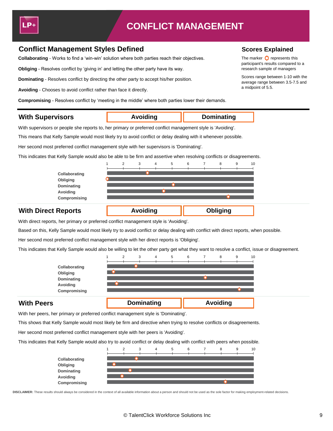

## **CONFLICT MANAGEMENT**

**Avoiding Dominating**

**Avoiding Obliging**

### **Conflict Management Styles Defined <b>Scores Explained** Scores Explained

**Collaborating** - Works to find a 'win-win' solution where both parties reach their objectives. The marker **O** represents this

**Obliging** - Resolves conflict by 'giving in' and letting the other party have its way. The state of managers research sample of managers

**Dominating** - Resolves conflict by directing the other party to accept his/her position. Scores range between 1-10 with the

a midpoint of 5.5. **Avoiding** - Chooses to avoid conflict rather than face it directly.

**Compromising** - Resolves conflict by 'meeting in the middle' where both parties lower their demands.

### **With Supervisors**

With supervisors or people she reports to, her primary or preferred conflict management style is 'Avoiding'.

This means that Kelly Sample would most likely try to avoid conflict or delay dealing with it whenever possible.

Her second most preferred conflict management style with her supervisors is 'Dominating'.

This indicates that Kelly Sample would also be able to be firm and assertive when resolving conflicts or disagreements.



### **With Direct Reports**

With direct reports, her primary or preferred conflict management style is 'Avoiding'.

Based on this, Kelly Sample would most likely try to avoid conflict or delay dealing with conflict with direct reports, when possible.

Her second most preferred conflict management style with her direct reports is 'Obliging'.

This indicates that Kelly Sample would also be willing to let the other party get what they want to resolve a conflict, issue or disagreement.



### **With Peers**

With her peers, her primary or preferred conflict management style is 'Dominating'.

This shows that Kelly Sample would most likely be firm and directive when trying to resolve conflicts or disagreements.

Her second most preferred conflict management style with her peers is 'Avoiding'.

This indicates that Kelly Sample would also try to avoid conflict or delay dealing with conflict with peers when possible.



**DISCLAIMER:** These results should always be considered in the context of all available information about a person and should not be used as the sole factor for making employment-related decisions.

participant's results compared to a

average range between 3.5-7.5 and